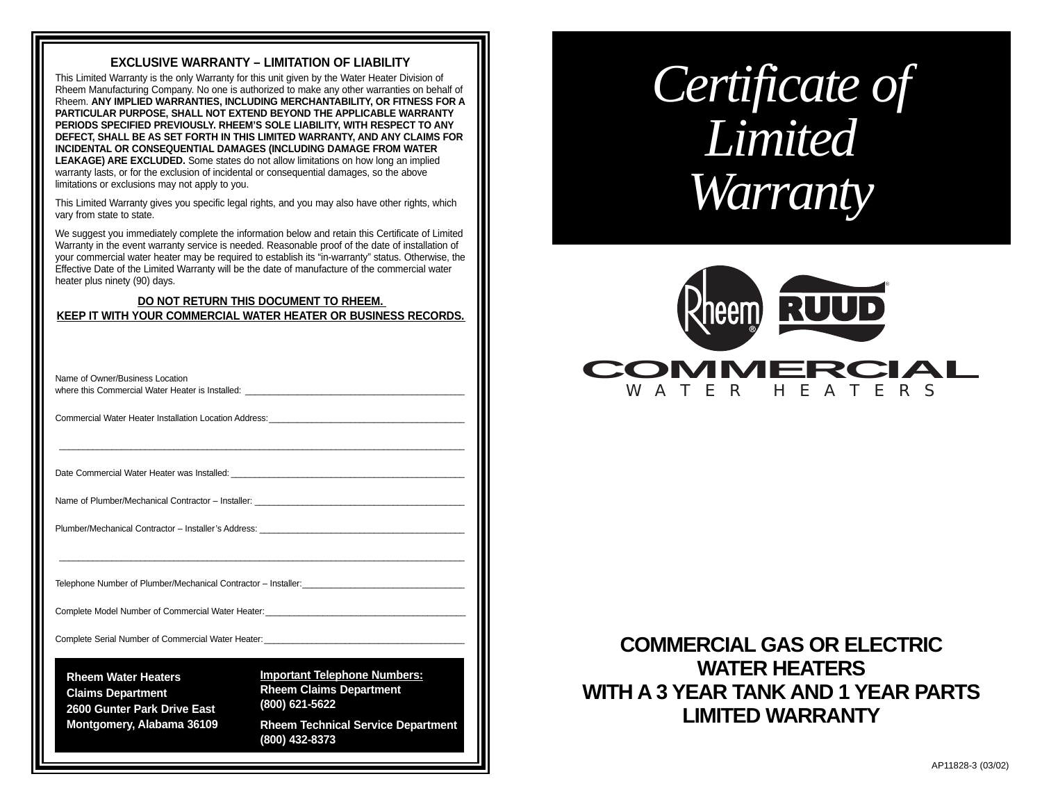## **EXCLUSIVE WARRANTY – LIMITATION OF LIABILITY**

This Limited Warranty is the only Warranty for this unit given by the Water Heater Division of Rheem Manufacturing Company. No one is authorized to make any other warranties on behalf of Rheem. **ANY IMPLIED WARRANTIES, INCLUDING MERCHANTABILITY, OR FITNESS FOR A PARTICULAR PURPOSE, SHALL NOT EXTEND BEYOND THE APPLICABLE WARRANTY PERIODS SPECIFIED PREVIOUSLY. RHEEM'S SOLE LIABILITY, WITH RESPECT TO ANY DEFECT, SHALL BE AS SET FORTH IN THIS LIMITED WARRANTY, AND ANY CLAIMS FOR INCIDENTAL OR CONSEQUENTIAL DAMAGES (INCLUDING DAMAGE FROM WATER LEAKAGE) ARE EXCLUDED.** Some states do not allow limitations on how long an implied warranty lasts, or for the exclusion of incidental or consequential damages, so the above limitations or exclusions may not apply to you.

This Limited Warranty gives you specific legal rights, and you may also have other rights, which vary from state to state.

We suggest you immediately complete the information below and retain this Certificate of Limited Warranty in the event warranty service is needed. Reasonable proof of the date of installation of your commercial water heater may be required to establish its "in-warranty" status. Otherwise, the Effective Date of the Limited Warranty will be the date of manufacture of the commercial water heater plus ninety (90) days.

### **DO NOT RETURN THIS DOCUMENT TO RHEEM. KEEP IT WITH YOUR COMMERCIAL WATER HEATER OR BUSINESS RECORDS.**

| Name of Owner/Business Location<br>where this Commercial Water Heater is Installed: <u>example and the set of the set of the set of the set of the set of the set of the set of the set of the set of the set of the set of the set of the set of the set of the se</u> |                                                                                                                                                        |
|-------------------------------------------------------------------------------------------------------------------------------------------------------------------------------------------------------------------------------------------------------------------------|--------------------------------------------------------------------------------------------------------------------------------------------------------|
| Commercial Water Heater Installation Location Address: Learning and Commercial Water Present                                                                                                                                                                            |                                                                                                                                                        |
| Date Commercial Water Heater was Installed: National State Commercial Water                                                                                                                                                                                             |                                                                                                                                                        |
|                                                                                                                                                                                                                                                                         |                                                                                                                                                        |
|                                                                                                                                                                                                                                                                         |                                                                                                                                                        |
| Telephone Number of Plumber/Mechanical Contractor - Installer:__________________                                                                                                                                                                                        |                                                                                                                                                        |
| Complete Model Number of Commercial Water Heater:                                                                                                                                                                                                                       |                                                                                                                                                        |
| Complete Serial Number of Commercial Water Heater: University of the Series of Commercial Water Heater:                                                                                                                                                                 |                                                                                                                                                        |
| <b>Rheem Water Heaters</b><br><b>Claims Department</b><br>2600 Gunter Park Drive East<br>Montgomery, Alabama 36109                                                                                                                                                      | <b>Important Telephone Numbers:</b><br><b>Rheem Claims Department</b><br>(800) 621-5622<br><b>Rheem Technical Service Department</b><br>(800) 432-8373 |

# *Certificate of Limited Warranty*



# **COMMERCIAL GAS OR ELECTRIC WATER HEATERS WITH A 3 YEAR TANK AND 1 YEAR PARTS LIMITED WARRANTY**